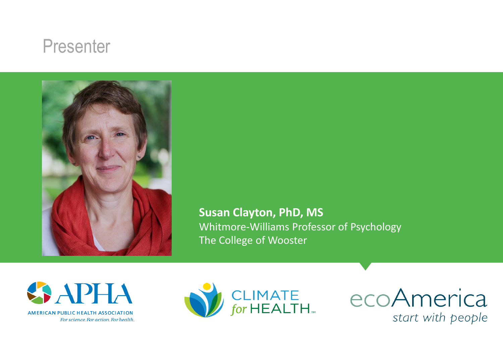#### Presenter



**Susan Clayton, PhD, MS**  Whitmore-Williams Professor of Psychology The College of Wooster



For science. For action. For health.



ecoAmerica start with people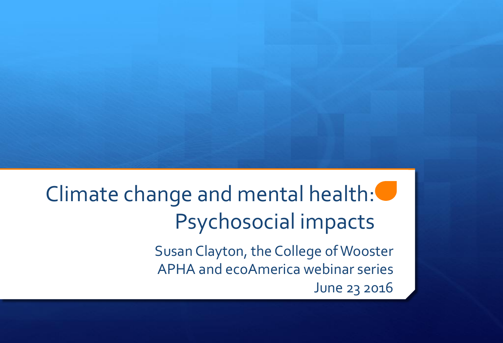# Climate change and mental health: Psychosocial impacts

Susan Clayton, the College of Wooster APHA and ecoAmerica webinar series June 23 2016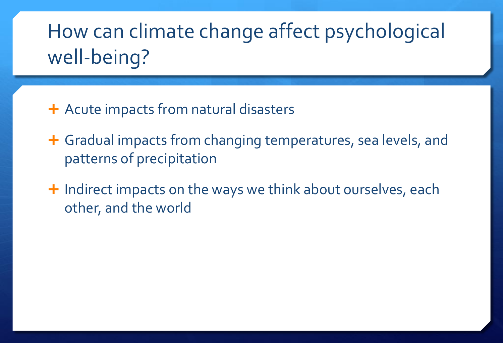### How can climate change affect psychological well-being?

- + Acute impacts from natural disasters
- Gradual impacts from changing temperatures, sea levels, and patterns of precipitation
- $\pm$  Indirect impacts on the ways we think about ourselves, each other, and the world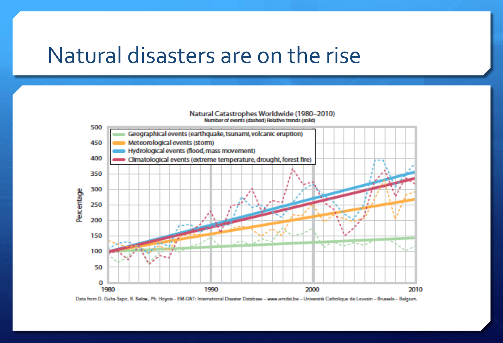#### Natural disasters are on the rise

#### Natural Catastrophes Worldwide (1980-2010) Number of events (dashed) Relative trends (solid)



Data from D. Guha-Sapir, R. Below, Ph. Hoyois - EM-DAT: International Disaster Database - www.emdat.be - Université Catholique de Louvain - Brussels - Belgium.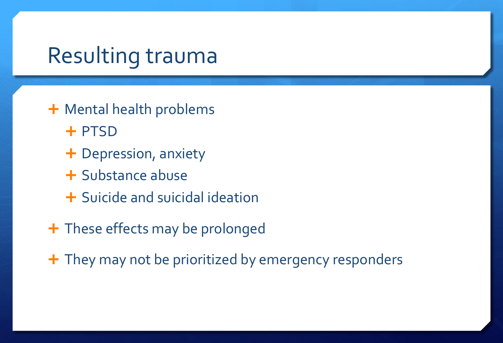#### Resulting trauma

- + Mental health problems
	- + PTSD
	- Depression, anxiety
	- **+ Substance abuse**
	- + Suicide and suicidal ideation
- + These effects may be prolonged
- + They may not be prioritized by emergency responders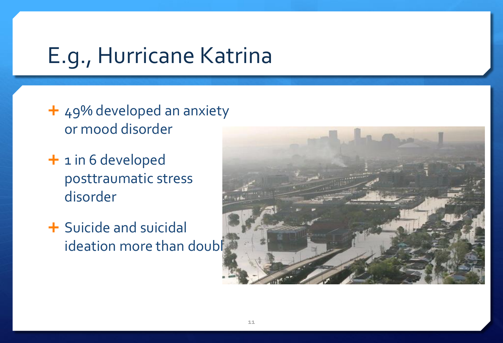### E.g., Hurricane Katrina

- + 49% developed an anxiety or mood disorder
- + 1 in 6 developed posttraumatic stress disorder
- Suicide and suicidal ideation more than doubl

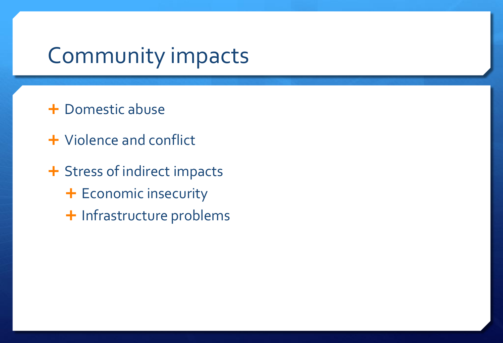#### Community impacts

- **+ Domestic abuse**
- Violence and conflict
- + Stress of indirect impacts + Economic insecurity + Infrastructure problems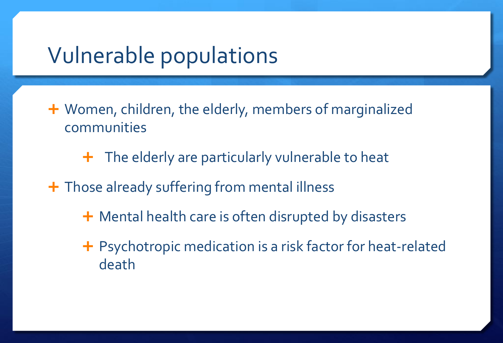#### Vulnerable populations

- Women, children, the elderly, members of marginalized communities
	- $\div$  The elderly are particularly vulnerable to heat
- + Those already suffering from mental illness
	- **+** Mental health care is often disrupted by disasters
	- + Psychotropic medication is a risk factor for heat-related death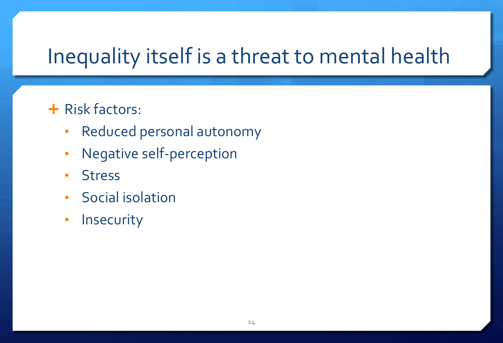### Inequality itself is a threat to mental health

#### **+ Risk factors:**

- Reduced personal autonomy
- Negative self-perception
- Stress
- Social isolation
- Insecurity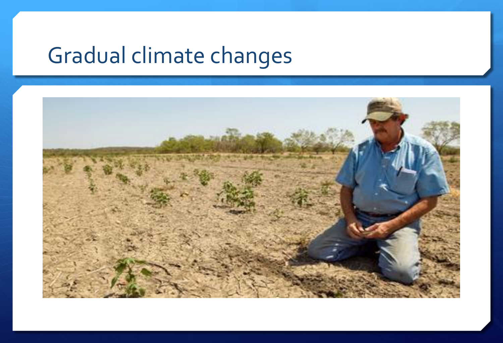# Gradual climate changes

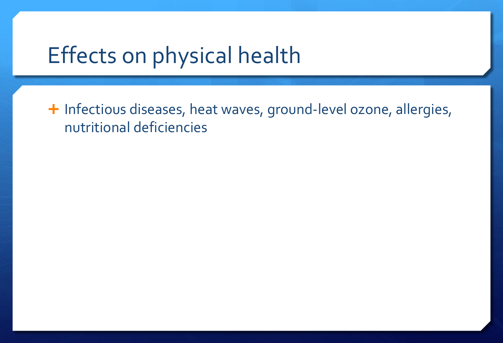### Effects on physical health

+ Infectious diseases, heat waves, ground-level ozone, allergies, nutritional deficiencies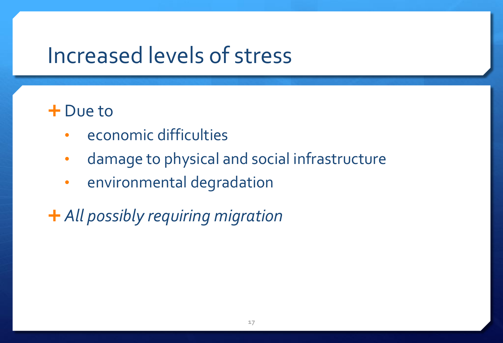#### Increased levels of stress

#### + Due to

- economic difficulties
- damage to physical and social infrastructure
- environmental degradation

*All possibly requiring migration*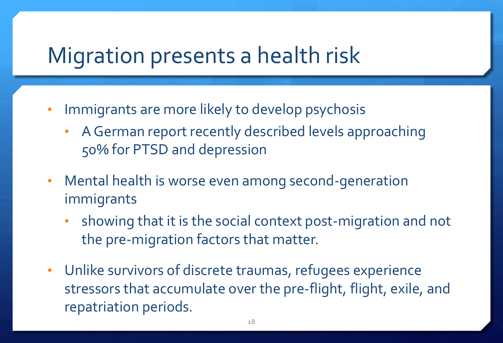#### Migration presents a health risk

- Immigrants are more likely to develop psychosis
	- A German report recently described levels approaching 50% for PTSD and depression
- Mental health is worse even among second-generation immigrants
	- showing that it is the social context post-migration and not the pre-migration factors that matter.
- Unlike survivors of discrete traumas, refugees experience stressors that accumulate over the pre-flight, flight, exile, and repatriation periods.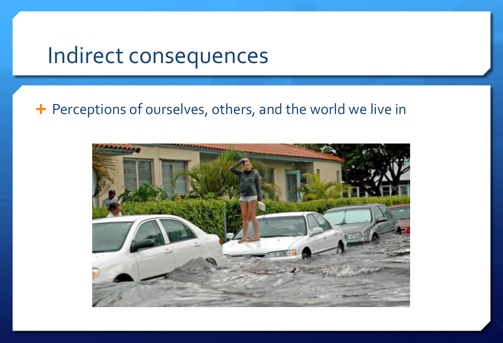#### Indirect consequences

#### + Perceptions of ourselves, others, and the world we live in

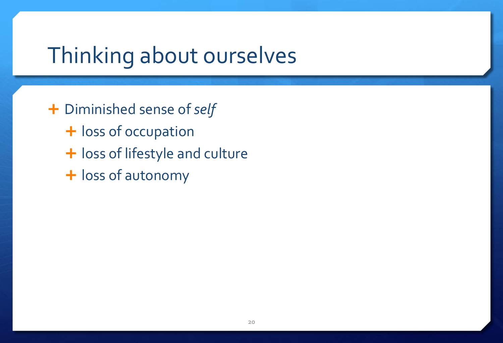### Thinking about ourselves

 Diminished sense of *self* + loss of occupation + loss of lifestyle and culture

+ loss of autonomy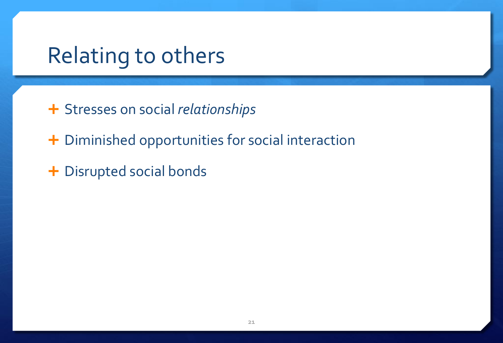#### Relating to others

- Stresses on social *relationships*
- + Diminished opportunities for social interaction
- + Disrupted social bonds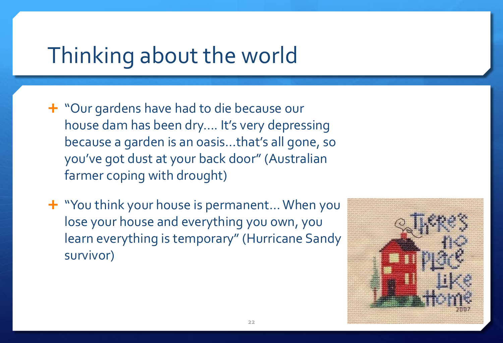#### Thinking about the world

- "Our gardens have had to die because our house dam has been dry…. It's very depressing because a garden is an oasis…that's all gone, so you've got dust at your back door" (Australian farmer coping with drought)
- **+** "You think your house is permanent... When you lose your house and everything you own, you learn everything is temporary" (Hurricane Sandy survivor)

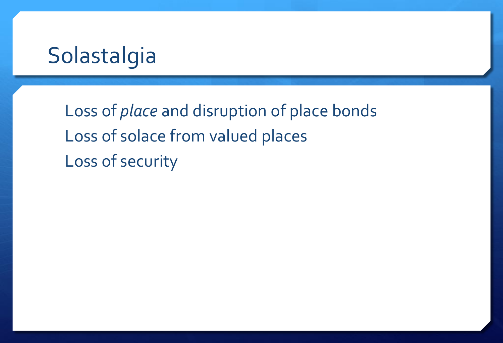#### Solastalgia

Loss of *place* and disruption of place bonds Loss of solace from valued places Loss of security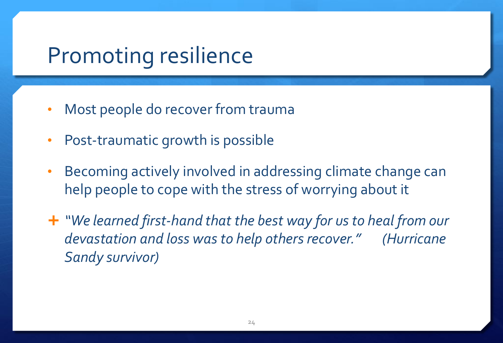#### Promoting resilience

- Most people do recover from trauma
- Post-traumatic growth is possible
- Becoming actively involved in addressing climate change can help people to cope with the stress of worrying about it
- *"We learned first-hand that the best way for us to heal from our devastation and loss was to help others recover." (Hurricane Sandy survivor)*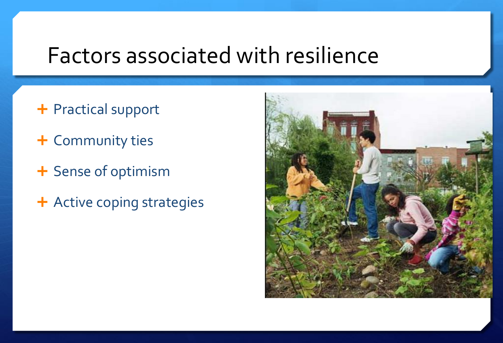#### Factors associated with resilience

- + Practical support
- + Community ties
- + Sense of optimism
- + Active coping strategies

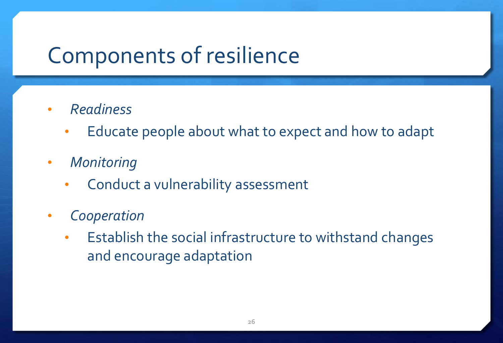### Components of resilience

- *Readiness*
	- Educate people about what to expect and how to adapt
- *Monitoring*
	- Conduct a vulnerability assessment
- *Cooperation*
	- Establish the social infrastructure to withstand changes and encourage adaptation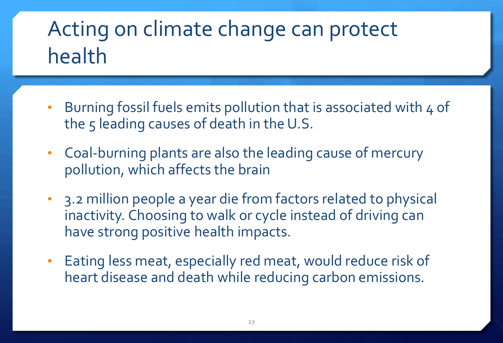## Acting on climate change can protect health

- Burning fossil fuels emits pollution that is associated with 4 of the 5 leading causes of death in the U.S.
- Coal-burning plants are also the leading cause of mercury pollution, which affects the brain
- 3.2 million people a year die from factors related to physical inactivity. Choosing to walk or cycle instead of driving can have strong positive health impacts.
- Eating less meat, especially red meat, would reduce risk of heart disease and death while reducing carbon emissions.